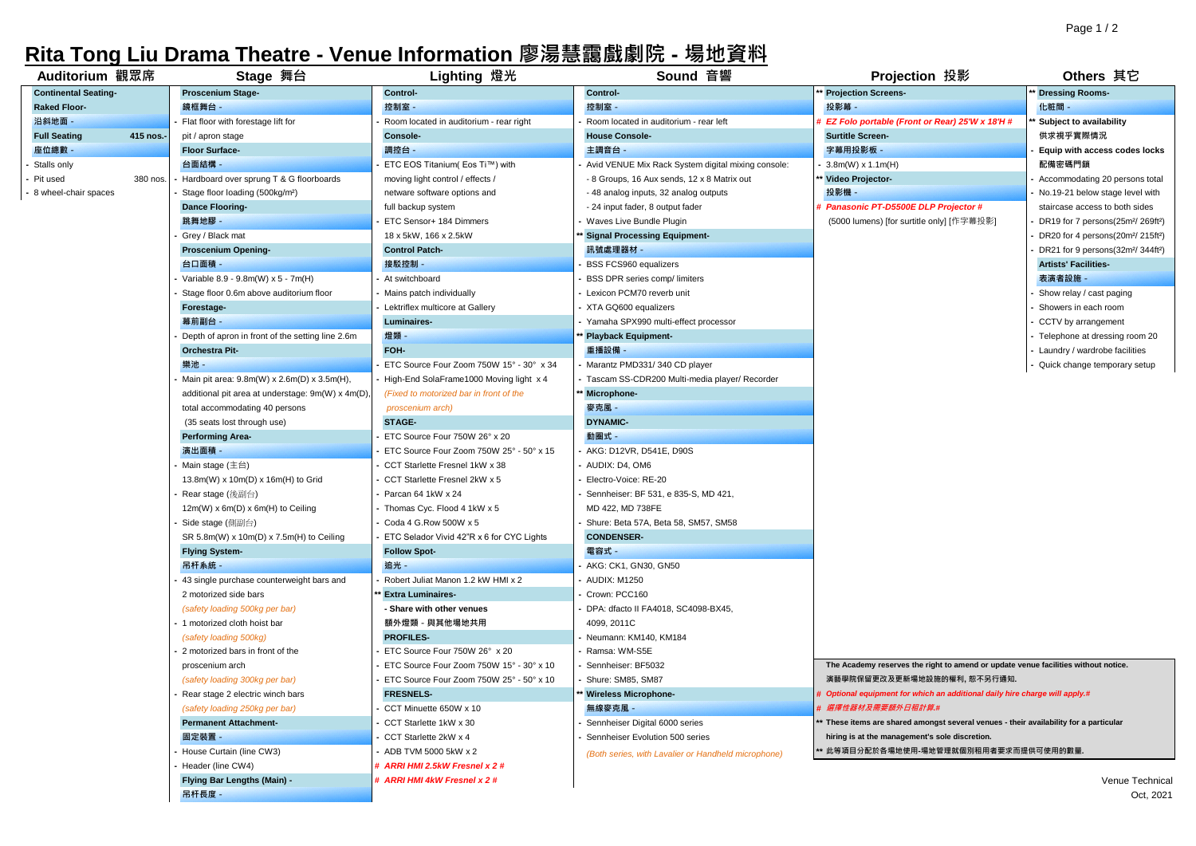## **Rita Tong Liu Drama Theatre - Venue Information 廖湯慧靄戲劇院 - 場地資料**

| Auditorium 觀眾席              |           | Stage 舞台                                          | Lighting 燈光                               | Sound 音響                                            | Projection 投影                                                                         | Others 其它                                                 |
|-----------------------------|-----------|---------------------------------------------------|-------------------------------------------|-----------------------------------------------------|---------------------------------------------------------------------------------------|-----------------------------------------------------------|
| <b>Continental Seating-</b> |           | <b>Proscenium Stage-</b>                          | Control-                                  | Control-                                            | <b>Projection Screens-</b>                                                            | <b>Dressing Rooms-</b>                                    |
| <b>Raked Floor-</b>         |           | 鏡框舞台 -                                            | 控制室 -                                     | 控制室                                                 | 投影幕 -                                                                                 | 化粧間                                                       |
| 沿斜地面 -                      |           | Flat floor with forestage lift for                | Room located in auditorium - rear right   | Room located in auditorium - rear left              | EZ Folo portable (Front or Rear) 25'W x 18'H #                                        | Subject to availability                                   |
| <b>Full Seating</b>         | 415 nos.- | pit / apron stage                                 | Console-                                  | <b>House Console-</b>                               | <b>Surtitle Screen-</b>                                                               | 供求視乎實際情況                                                  |
| 座位總數 -                      |           | Floor Surface-                                    | 調控台 -                                     | 主調音台                                                | 字幕用投影板 -                                                                              | Equip with access codes locks                             |
| Stalls only                 |           | 台面結構 -                                            | ETC EOS Titanium(Eos Ti™) with            | Avid VENUE Mix Rack System digital mixing console:  | $3.8m(W) \times 1.1m(H)$                                                              | 配備密碼門鎖                                                    |
| Pit used                    | 380 nos.  | Hardboard over sprung T & G floorboards           | moving light control / effects /          | - 8 Groups, 16 Aux sends, 12 x 8 Matrix out         | Video Projector-                                                                      | Accommodating 20 persons total                            |
| - 8 wheel-chair spaces      |           | Stage floor loading (500kg/m <sup>2</sup> )       | netware software options and              | - 48 analog inputs, 32 analog outputs               | 投影機                                                                                   | No.19-21 below stage level with                           |
|                             |           | <b>Dance Flooring-</b>                            | full backup system                        | - 24 input fader, 8 output fader                    | Panasonic PT-D5500E DLP Projector #                                                   | staircase access to both sides                            |
|                             |           | 跳舞地膠 -                                            | ETC Sensor+ 184 Dimmers                   | Waves Live Bundle Plugin                            | (5000 lumens) [for surtitle only] [作字幕投影]                                             | DR19 for 7 persons(25m <sup>2</sup> /269ft <sup>2</sup> ) |
|                             |           | Grey / Black mat                                  | 18 x 5kW, 166 x 2.5kW                     | <b>Signal Processing Equipment-</b>                 |                                                                                       | DR20 for 4 persons(20m <sup>2</sup> /215ft <sup>2</sup> ) |
|                             |           | <b>Proscenium Opening-</b>                        | <b>Control Patch-</b>                     | 訊號處理器材 -                                            |                                                                                       | DR21 for 9 persons(32m <sup>2</sup> /344ft <sup>2</sup> ) |
|                             |           | 台口面積 -                                            | 接駁控制 -                                    | <b>BSS FCS960 equalizers</b>                        |                                                                                       | <b>Artists' Facilities-</b>                               |
|                             |           | Variable 8.9 - 9.8m(W) x 5 - 7m(H)                | At switchboard                            | BSS DPR series comp/ limiters                       |                                                                                       | 表演者設施 -                                                   |
|                             |           | Stage floor 0.6m above auditorium floor           | Mains patch individually                  | Lexicon PCM70 reverb unit                           |                                                                                       | Show relay / cast paging                                  |
|                             |           | Forestage-                                        | Lektriflex multicore at Gallery           | XTA GQ600 equalizers                                |                                                                                       | Showers in each room                                      |
|                             |           | 幕前副台 -                                            | Luminaires-                               | Yamaha SPX990 multi-effect processor                |                                                                                       | CCTV by arrangement                                       |
|                             |           | Depth of apron in front of the setting line 2.6m  | 燈類 -                                      | Playback Equipment-                                 |                                                                                       | Telephone at dressing room 20                             |
|                             |           | <b>Orchestra Pit-</b>                             | FOH-                                      | 重播設備                                                |                                                                                       | Laundry / wardrobe facilities                             |
|                             |           | 樂池 -                                              | ETC Source Four Zoom 750W 15° - 30° x 34  | Marantz PMD331/340 CD player                        |                                                                                       | Quick change temporary setup                              |
|                             |           | Main pit area: 9.8m(W) x 2.6m(D) x 3.5m(H),       | High-End SolaFrame1000 Moving light x 4   | Tascam SS-CDR200 Multi-media player/ Recorder       |                                                                                       |                                                           |
|                             |           | additional pit area at understage: 9m(W) x 4m(D), | (Fixed to motorized bar in front of the   | Microphone-                                         |                                                                                       |                                                           |
|                             |           | total accommodating 40 persons                    | proscenium arch)                          | 麥克風                                                 |                                                                                       |                                                           |
|                             |           | (35 seats lost through use)                       | STAGE-                                    | <b>DYNAMIC-</b>                                     |                                                                                       |                                                           |
|                             |           | Performing Area-                                  | ETC Source Four 750W 26° x 20             | 動圈式 -                                               |                                                                                       |                                                           |
|                             |           | 演出面積 -                                            | ETC Source Four Zoom 750W 25° - 50° x 15  | AKG: D12VR, D541E, D90S                             |                                                                                       |                                                           |
|                             |           | Main stage (主台)                                   | CCT Starlette Fresnel 1kW x 38            | AUDIX: D4, OM6                                      |                                                                                       |                                                           |
|                             |           | 13.8m(W) x 10m(D) x 16m(H) to Grid                | CCT Starlette Fresnel 2kW x 5             | Electro-Voice: RE-20                                |                                                                                       |                                                           |
|                             |           | Rear stage (後副台)                                  | Parcan 64 1kW x 24                        | Sennheiser: BF 531, e 835-S, MD 421,                |                                                                                       |                                                           |
|                             |           | 12m(W) x 6m(D) x 6m(H) to Ceiling                 | Thomas Cyc. Flood 4 1kW x 5               | MD 422, MD 738FE                                    |                                                                                       |                                                           |
|                             |           | Side stage (側副台)                                  | Coda 4 G.Row 500W x 5                     | Shure: Beta 57A, Beta 58, SM57, SM58                |                                                                                       |                                                           |
|                             |           | SR 5.8m(W) x 10m(D) x 7.5m(H) to Ceiling          | ETC Selador Vivid 42"R x 6 for CYC Lights | <b>CONDENSER-</b>                                   |                                                                                       |                                                           |
|                             |           | <b>Flying System-</b>                             | <b>Follow Spot-</b>                       | 電容式 -                                               |                                                                                       |                                                           |
|                             |           | 吊杆系統 -                                            | 追光 -                                      | AKG: CK1, GN30, GN50                                |                                                                                       |                                                           |
|                             |           | 43 single purchase counterweight bars and         | Robert Juliat Manon 1.2 kW HMI x 2        | <b>AUDIX: M1250</b>                                 |                                                                                       |                                                           |
|                             |           | 2 motorized side bars                             | <b>Extra Luminaires-</b>                  | Crown: PCC160                                       |                                                                                       |                                                           |
|                             |           | (safety loading 500kg per bar)                    | - Share with other venues                 | DPA: dfacto II FA4018, SC4098-BX45,                 |                                                                                       |                                                           |
|                             |           | 1 motorized cloth hoist bar                       | 額外燈類 - 與其他場地共用                            | 4099, 2011C                                         |                                                                                       |                                                           |
|                             |           | (safety loading 500kg)                            | <b>PROFILES-</b>                          | Neumann: KM140, KM184                               |                                                                                       |                                                           |
|                             |           | 2 motorized bars in front of the                  | ETC Source Four 750W 26° x 20             | Ramsa: WM-S5E                                       |                                                                                       |                                                           |
|                             |           | proscenium arch                                   | ETC Source Four Zoom 750W 15° - 30° x 10  | Sennheiser: BF5032                                  | The Academy reserves the right to amend or update venue facilities without notice.    |                                                           |
|                             |           | (safety loading 300kg per bar)                    | ETC Source Four Zoom 750W 25° - 50° x 10  | Shure: SM85, SM87                                   | 演藝學院保留更改及更新場地設施的權利, 恕不另行通知.                                                           |                                                           |
|                             |           | Rear stage 2 electric winch bars                  | <b>FRESNELS-</b>                          | <b>Wireless Microphone-</b>                         | Optional equipment for which an additional daily hire charge will apply.#             |                                                           |
|                             |           | (safety loading 250kg per bar)                    | CCT Minuette 650W x 10                    | 無線麥克風 -                                             | Ⅰ 選擇性器材及需要額外日租計算.#                                                                    |                                                           |
|                             |           | <b>Permanent Attachment-</b>                      | CCT Starlette 1kW x 30                    | Sennheiser Digital 6000 series                      | * These items are shared amongst several venues - their availability for a particular |                                                           |
|                             |           | 固定裝置 -                                            | CCT Starlette 2kW x 4                     | Sennheiser Evolution 500 series                     | hiring is at the management's sole discretion.                                        |                                                           |
|                             |           | House Curtain (line CW3)                          | ADB TVM 5000 5kW x 2                      | (Both series, with Lavalier or Handheld microphone) | *此等項目分配於各場地使用-場地管理就個別租用者要求而提供可使用的數量.                                                  |                                                           |
|                             |           | Header (line CW4)                                 | # ARRI HMI 2.5kW Fresnel x 2 #            |                                                     |                                                                                       |                                                           |
|                             |           | Flying Bar Lengths (Main) -                       | # ARRI HMI 4kW Fresnel x 2 #              |                                                     |                                                                                       | Venue Technical                                           |
|                             |           | 吊杆長度 -                                            |                                           |                                                     |                                                                                       | Oct. 2021                                                 |